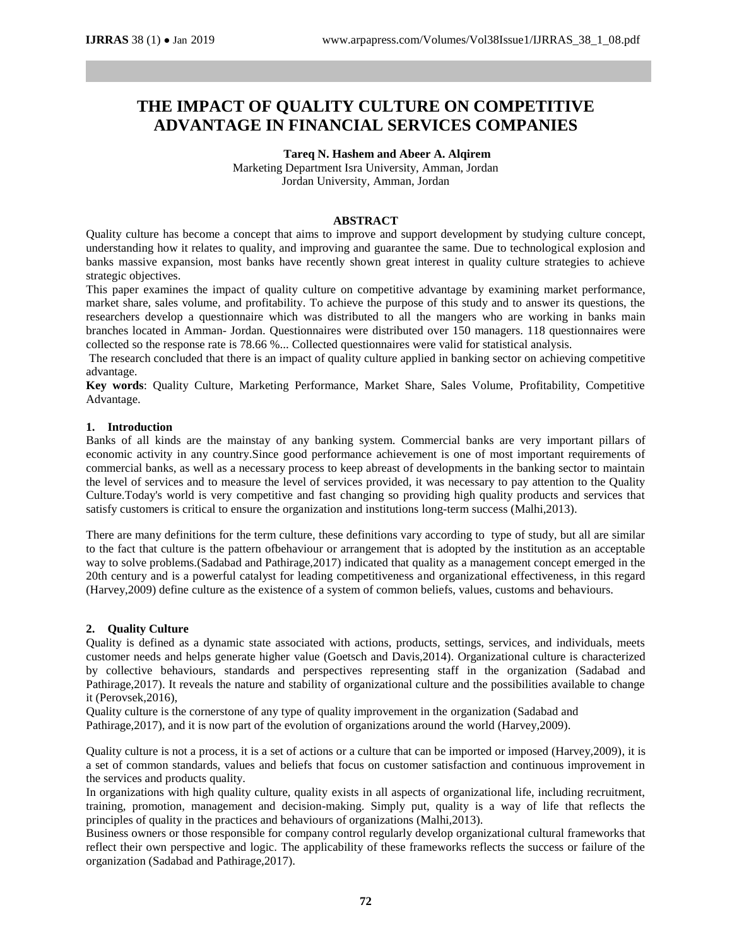# **THE IMPACT OF QUALITY CULTURE ON COMPETITIVE ADVANTAGE IN FINANCIAL SERVICES COMPANIES**

# **Tareq N. Hashem and Abeer A. Alqirem**

Marketing Department Isra University, Amman, Jordan Jordan University, Amman, Jordan

#### **ABSTRACT**

Quality culture has become a concept that aims to improve and support development by studying culture concept, understanding how it relates to quality, and improving and guarantee the same. Due to technological explosion and banks massive expansion, most banks have recently shown great interest in quality culture strategies to achieve strategic objectives.

This paper examines the impact of quality culture on competitive advantage by examining market performance, market share, sales volume, and profitability. To achieve the purpose of this study and to answer its questions, the researchers develop a questionnaire which was distributed to all the mangers who are working in banks main branches located in Amman- Jordan. Questionnaires were distributed over 150 managers. 118 questionnaires were collected so the response rate is 78.66 %... Collected questionnaires were valid for statistical analysis.

The research concluded that there is an impact of quality culture applied in banking sector on achieving competitive advantage.

**Key words**: Quality Culture, Marketing Performance, Market Share, Sales Volume, Profitability, Competitive Advantage.

#### **1. Introduction**

Banks of all kinds are the mainstay of any banking system. Commercial banks are very important pillars of economic activity in any country.Since good performance achievement is one of most important requirements of commercial banks, as well as a necessary process to keep abreast of developments in the banking sector to maintain the level of services and to measure the level of services provided, it was necessary to pay attention to the Quality Culture.Today's world is very competitive and fast changing so providing high quality products and services that satisfy customers is critical to ensure the organization and institutions long-term success (Malhi,2013).

There are many definitions for the term culture, these definitions vary according to type of study, but all are similar to the fact that culture is the pattern ofbehaviour or arrangement that is adopted by the institution as an acceptable way to solve problems.(Sadabad and Pathirage,2017) indicated that quality as a management concept emerged in the 20th century and is a powerful catalyst for leading competitiveness and organizational effectiveness, in this regard (Harvey,2009) define culture as the existence of a system of common beliefs, values, customs and behaviours.

#### **2. Quality Culture**

Quality is defined as a dynamic state associated with actions, products, settings, services, and individuals, meets customer needs and helps generate higher value (Goetsch and Davis,2014). Organizational culture is characterized by collective behaviours, standards and perspectives representing staff in the organization (Sadabad and Pathirage,2017). It reveals the nature and stability of organizational culture and the possibilities available to change it (Perovsek,2016),

Quality culture is the cornerstone of any type of quality improvement in the organization (Sadabad and Pathirage,2017), and it is now part of the evolution of organizations around the world (Harvey,2009).

Quality culture is not a process, it is a set of actions or a culture that can be imported or imposed (Harvey,2009), it is a set of common standards, values and beliefs that focus on customer satisfaction and continuous improvement in the services and products quality.

In organizations with high quality culture, quality exists in all aspects of organizational life, including recruitment, training, promotion, management and decision-making. Simply put, quality is a way of life that reflects the principles of quality in the practices and behaviours of organizations (Malhi,2013).

Business owners or those responsible for company control regularly develop organizational cultural frameworks that reflect their own perspective and logic. The applicability of these frameworks reflects the success or failure of the organization (Sadabad and Pathirage,2017).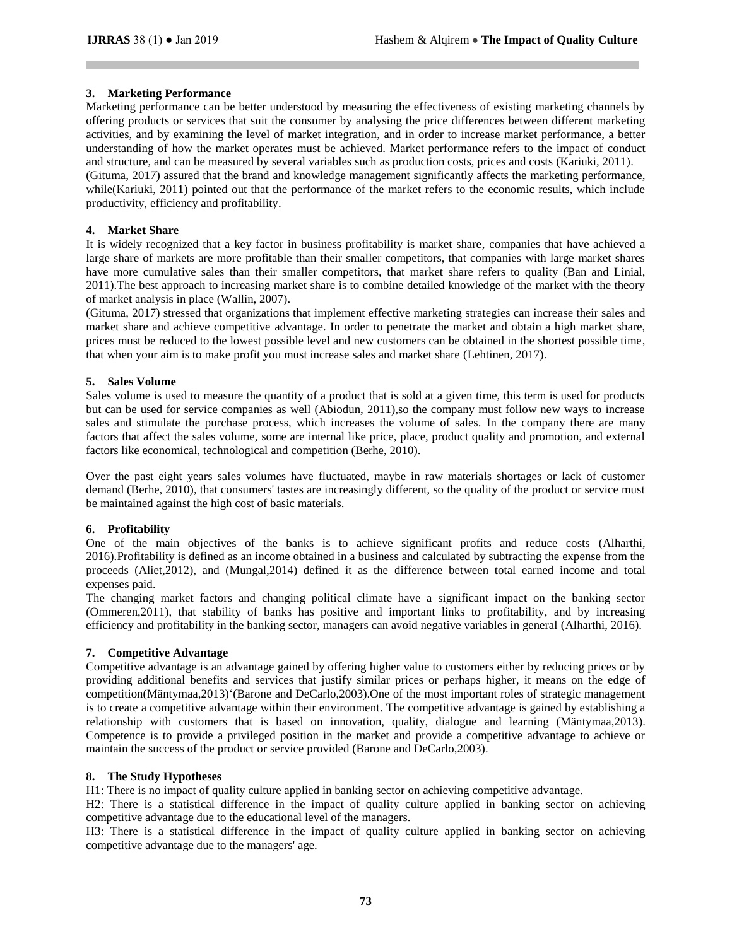# **3. Marketing Performance**

Marketing performance can be better understood by measuring the effectiveness of existing marketing channels by offering products or services that suit the consumer by analysing the price differences between different marketing activities, and by examining the level of market integration, and in order to increase market performance, a better understanding of how the market operates must be achieved. Market performance refers to the impact of conduct and structure, and can be measured by several variables such as production costs, prices and costs (Kariuki, 2011). (Gituma, 2017) assured that the brand and knowledge management significantly affects the marketing performance, while(Kariuki, 2011) pointed out that the performance of the market refers to the economic results, which include productivity, efficiency and profitability.

# **4. Market Share**

It is widely recognized that a key factor in business profitability is market share, companies that have achieved a large share of markets are more profitable than their smaller competitors, that companies with large market shares have more cumulative sales than their smaller competitors, that market share refers to quality (Ban and Linial, 2011).The best approach to increasing market share is to combine detailed knowledge of the market with the theory of market analysis in place (Wallin, 2007).

(Gituma, 2017) stressed that organizations that implement effective marketing strategies can increase their sales and market share and achieve competitive advantage. In order to penetrate the market and obtain a high market share, prices must be reduced to the lowest possible level and new customers can be obtained in the shortest possible time, that when your aim is to make profit you must increase sales and market share (Lehtinen, 2017).

# **5. Sales Volume**

Sales volume is used to measure the quantity of a product that is sold at a given time, this term is used for products but can be used for service companies as well (Abiodun, 2011),so the company must follow new ways to increase sales and stimulate the purchase process, which increases the volume of sales. In the company there are many factors that affect the sales volume, some are internal like price, place, product quality and promotion, and external factors like economical, technological and competition (Berhe, 2010).

Over the past eight years sales volumes have fluctuated, maybe in raw materials shortages or lack of customer demand (Berhe, 2010), that consumers' tastes are increasingly different, so the quality of the product or service must be maintained against the high cost of basic materials.

# **6. Profitability**

One of the main objectives of the banks is to achieve significant profits and reduce costs (Alharthi, 2016).Profitability is defined as an income obtained in a business and calculated by subtracting the expense from the proceeds (Aliet,2012), and (Mungal,2014) defined it as the difference between total earned income and total expenses paid.

The changing market factors and changing political climate have a significant impact on the banking sector (Ommeren,2011), that stability of banks has positive and important links to profitability, and by increasing efficiency and profitability in the banking sector, managers can avoid negative variables in general (Alharthi, 2016).

# **7. Competitive Advantage**

Competitive advantage is an advantage gained by offering higher value to customers either by reducing prices or by providing additional benefits and services that justify similar prices or perhaps higher, it means on the edge of competition(Mäntymaa,2013)'(Barone and DeCarlo,2003).One of the most important roles of strategic management is to create a competitive advantage within their environment. The competitive advantage is gained by establishing a relationship with customers that is based on innovation, quality, dialogue and learning (Mäntymaa,2013). Competence is to provide a privileged position in the market and provide a competitive advantage to achieve or maintain the success of the product or service provided (Barone and DeCarlo,2003).

# **8. The Study Hypotheses**

H1: There is no impact of quality culture applied in banking sector on achieving competitive advantage.

H2: There is a statistical difference in the impact of quality culture applied in banking sector on achieving competitive advantage due to the educational level of the managers.

H3: There is a statistical difference in the impact of quality culture applied in banking sector on achieving competitive advantage due to the managers' age.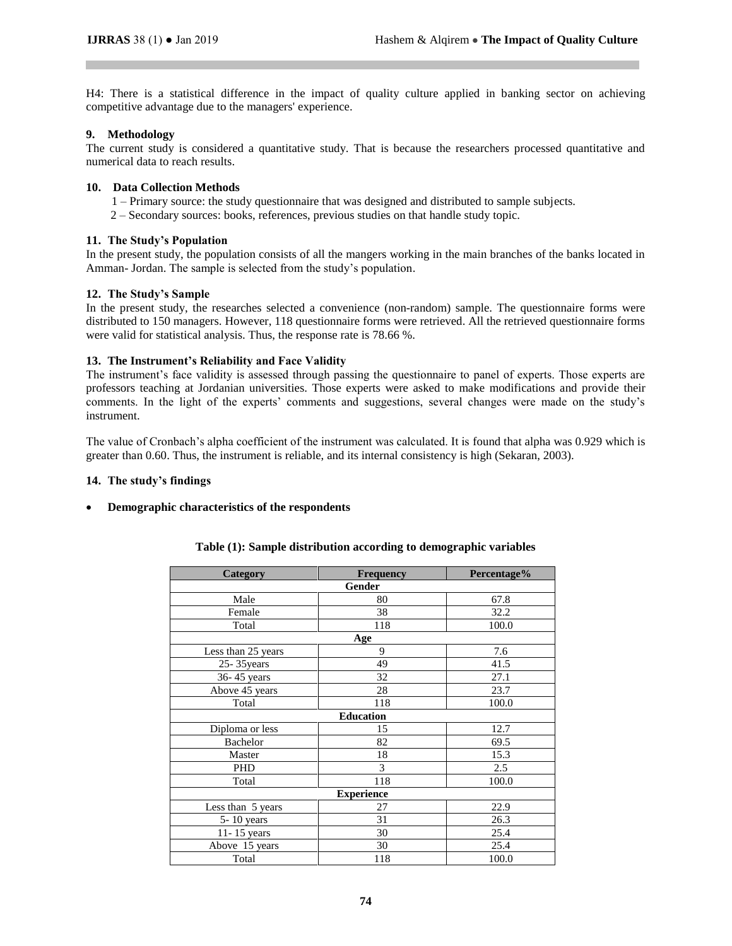H4: There is a statistical difference in the impact of quality culture applied in banking sector on achieving competitive advantage due to the managers' experience.

#### **9. Methodology**

The current study is considered a quantitative study. That is because the researchers processed quantitative and numerical data to reach results.

#### **10. Data Collection Methods**

- 1 Primary source: the study questionnaire that was designed and distributed to sample subjects.
- 2 Secondary sources: books, references, previous studies on that handle study topic.

#### **11. The Study's Population**

In the present study, the population consists of all the mangers working in the main branches of the banks located in Amman- Jordan. The sample is selected from the study's population.

#### **12. The Study's Sample**

In the present study, the researches selected a convenience (non-random) sample. The questionnaire forms were distributed to 150 managers. However, 118 questionnaire forms were retrieved. All the retrieved questionnaire forms were valid for statistical analysis. Thus, the response rate is 78.66 %.

#### **13. The Instrument's Reliability and Face Validity**

The instrument's face validity is assessed through passing the questionnaire to panel of experts. Those experts are professors teaching at Jordanian universities. Those experts were asked to make modifications and provide their comments. In the light of the experts' comments and suggestions, several changes were made on the study's instrument.

The value of Cronbach's alpha coefficient of the instrument was calculated. It is found that alpha was 0.929 which is greater than 0.60. Thus, the instrument is reliable, and its internal consistency is high (Sekaran, 2003).

#### **14. The study's findings**

#### • **Demographic characteristics of the respondents**

| Category           | Frequency         | Percentage% |  |  |  |  |  |  |
|--------------------|-------------------|-------------|--|--|--|--|--|--|
| Gender             |                   |             |  |  |  |  |  |  |
| Male               | 80                | 67.8        |  |  |  |  |  |  |
| Female             | 38                | 32.2        |  |  |  |  |  |  |
| Total              | 118               | 100.0       |  |  |  |  |  |  |
|                    | Age               |             |  |  |  |  |  |  |
| Less than 25 years | 9                 | 7.6         |  |  |  |  |  |  |
| $25 - 35$ years    | 49                | 41.5        |  |  |  |  |  |  |
| 36-45 years        | 32                | 27.1        |  |  |  |  |  |  |
| Above 45 years     | 28                | 23.7        |  |  |  |  |  |  |
| Total              | 118               | 100.0       |  |  |  |  |  |  |
|                    | <b>Education</b>  |             |  |  |  |  |  |  |
| Diploma or less    | 15                | 12.7        |  |  |  |  |  |  |
| Bachelor           | 82                | 69.5        |  |  |  |  |  |  |
| Master             | 18                | 15.3        |  |  |  |  |  |  |
| <b>PHD</b>         | 3                 | 2.5         |  |  |  |  |  |  |
| Total              | 118               | 100.0       |  |  |  |  |  |  |
|                    | <b>Experience</b> |             |  |  |  |  |  |  |
| Less than 5 years  | 27                | 22.9        |  |  |  |  |  |  |
| 5-10 years         | 31                | 26.3        |  |  |  |  |  |  |
| 11-15 years        | 30                | 25.4        |  |  |  |  |  |  |
| Above 15 years     | 30                | 25.4        |  |  |  |  |  |  |
| Total              | 118               | 100.0       |  |  |  |  |  |  |

# **Table (1): Sample distribution according to demographic variables**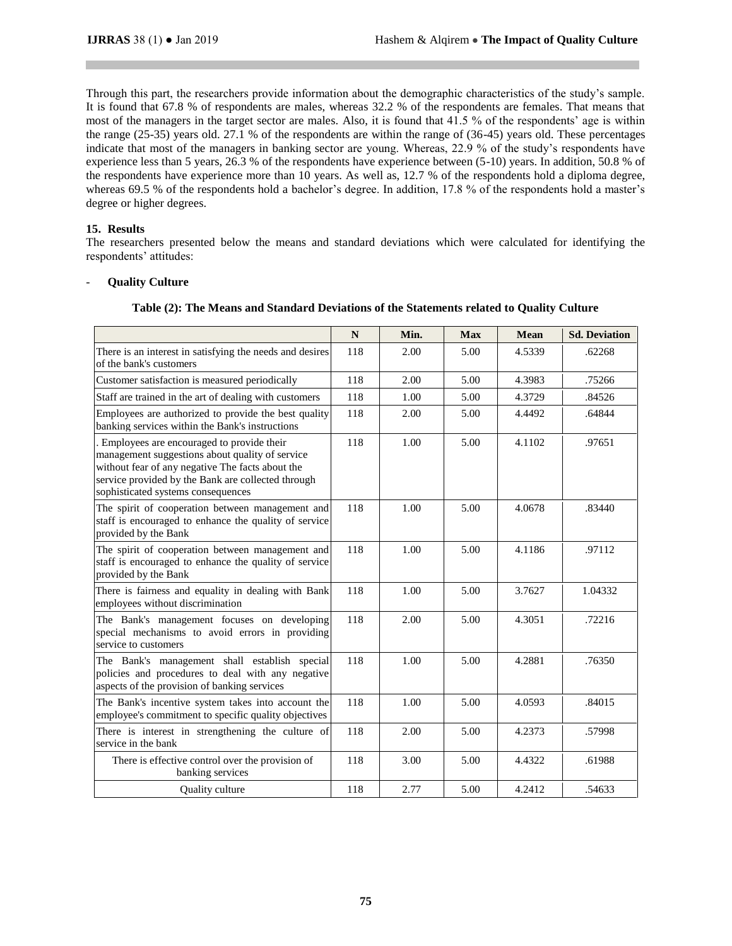Through this part, the researchers provide information about the demographic characteristics of the study's sample. It is found that 67.8 % of respondents are males, whereas 32.2 % of the respondents are females. That means that most of the managers in the target sector are males. Also, it is found that 41.5 % of the respondents' age is within the range (25-35) years old. 27.1 % of the respondents are within the range of (36-45) years old. These percentages indicate that most of the managers in banking sector are young. Whereas, 22.9 % of the study's respondents have experience less than 5 years, 26.3 % of the respondents have experience between (5-10) years. In addition, 50.8 % of the respondents have experience more than 10 years. As well as, 12.7 % of the respondents hold a diploma degree, whereas 69.5 % of the respondents hold a bachelor's degree. In addition, 17.8 % of the respondents hold a master's degree or higher degrees.

#### **15. Results**

The researchers presented below the means and standard deviations which were calculated for identifying the respondents' attitudes:

#### - **Quality Culture**

|                                                                                                                                                                                                                                                | $\mathbf N$ | Min. | <b>Max</b> | <b>Mean</b> | <b>Sd. Deviation</b> |
|------------------------------------------------------------------------------------------------------------------------------------------------------------------------------------------------------------------------------------------------|-------------|------|------------|-------------|----------------------|
| There is an interest in satisfying the needs and desires<br>of the bank's customers                                                                                                                                                            | 118         | 2.00 | 5.00       | 4.5339      | .62268               |
| Customer satisfaction is measured periodically                                                                                                                                                                                                 | 118         | 2.00 | 5.00       | 4.3983      | .75266               |
| Staff are trained in the art of dealing with customers                                                                                                                                                                                         | 118         | 1.00 | 5.00       | 4.3729      | .84526               |
| Employees are authorized to provide the best quality<br>banking services within the Bank's instructions                                                                                                                                        | 118         | 2.00 | 5.00       | 4.4492      | .64844               |
| . Employees are encouraged to provide their<br>management suggestions about quality of service<br>without fear of any negative The facts about the<br>service provided by the Bank are collected through<br>sophisticated systems consequences | 118         | 1.00 | 5.00       | 4.1102      | .97651               |
| The spirit of cooperation between management and<br>staff is encouraged to enhance the quality of service<br>provided by the Bank                                                                                                              | 118         | 1.00 | 5.00       | 4.0678      | .83440               |
| The spirit of cooperation between management and<br>staff is encouraged to enhance the quality of service<br>provided by the Bank                                                                                                              | 118         | 1.00 | 5.00       | 4.1186      | .97112               |
| There is fairness and equality in dealing with Bank<br>employees without discrimination                                                                                                                                                        | 118         | 1.00 | 5.00       | 3.7627      | 1.04332              |
| The Bank's management focuses on developing<br>special mechanisms to avoid errors in providing<br>service to customers                                                                                                                         | 118         | 2.00 | 5.00       | 4.3051      | .72216               |
| The Bank's management shall establish special<br>policies and procedures to deal with any negative<br>aspects of the provision of banking services                                                                                             | 118         | 1.00 | 5.00       | 4.2881      | .76350               |
| The Bank's incentive system takes into account the<br>employee's commitment to specific quality objectives                                                                                                                                     | 118         | 1.00 | 5.00       | 4.0593      | .84015               |
| There is interest in strengthening the culture of<br>service in the bank                                                                                                                                                                       | 118         | 2.00 | 5.00       | 4.2373      | .57998               |
| There is effective control over the provision of<br>banking services                                                                                                                                                                           | 118         | 3.00 | 5.00       | 4.4322      | .61988               |
| <b>Ouality culture</b>                                                                                                                                                                                                                         | 118         | 2.77 | 5.00       | 4.2412      | .54633               |

#### **Table (2): The Means and Standard Deviations of the Statements related to Quality Culture**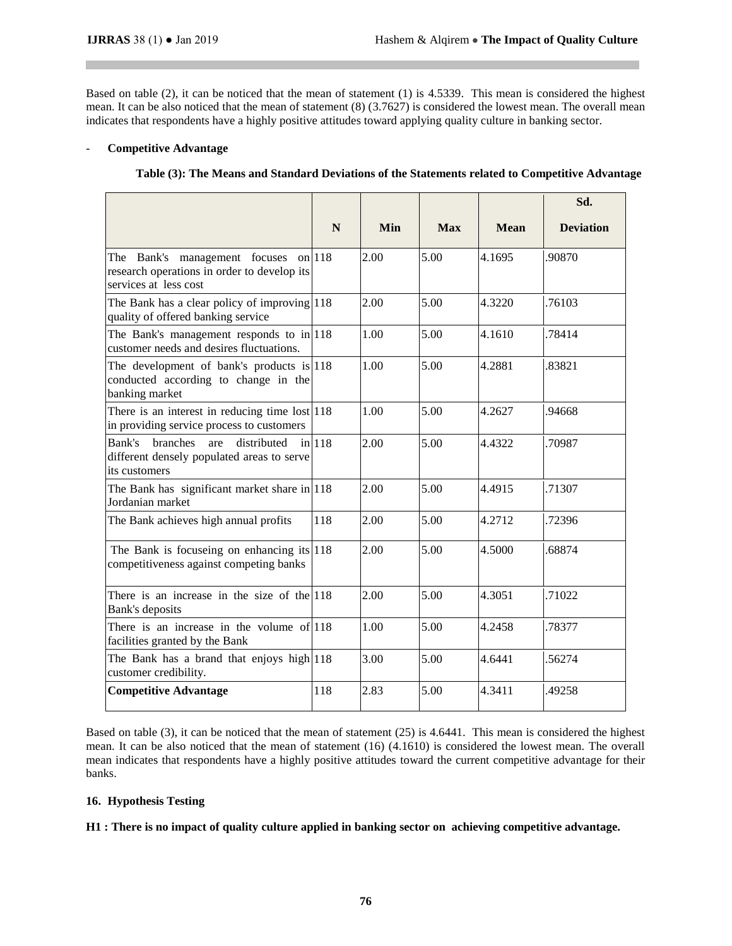Based on table (2), it can be noticed that the mean of statement (1) is 4.5339. This mean is considered the highest mean. It can be also noticed that the mean of statement (8) (3.7627) is considered the lowest mean. The overall mean indicates that respondents have a highly positive attitudes toward applying quality culture in banking sector.

#### - **Competitive Advantage**

| Table (3): The Means and Standard Deviations of the Statements related to Competitive Advantage |  |  |
|-------------------------------------------------------------------------------------------------|--|--|

|                                                                                                               |          |            |            |             | Sd.              |
|---------------------------------------------------------------------------------------------------------------|----------|------------|------------|-------------|------------------|
|                                                                                                               | N        | <b>Min</b> | <b>Max</b> | <b>Mean</b> | <b>Deviation</b> |
| The Bank's management focuses<br>research operations in order to develop its<br>services at less cost         | on $118$ | 2.00       | 5.00       | 4.1695      | .90870           |
| The Bank has a clear policy of improving $ 118\rangle$<br>quality of offered banking service                  |          | 2.00       | 5.00       | 4.3220      | .76103           |
| The Bank's management responds to $in 118$<br>customer needs and desires fluctuations.                        |          | 1.00       | 5.00       | 4.1610      | .78414           |
| The development of bank's products is $ 118\rangle$<br>conducted according to change in the<br>banking market |          | 1.00       | 5.00       | 4.2881      | .83821           |
| There is an interest in reducing time lost 118<br>in providing service process to customers                   |          | 1.00       | 5.00       | 4.2627      | .94668           |
| Bank's<br>branches<br>distributed<br>are<br>different densely populated areas to serve<br>its customers       | $in$ 118 | 2.00       | 5.00       | 4.4322      | .70987           |
| The Bank has significant market share in $ 118\rangle$<br>Jordanian market                                    |          | 2.00       | 5.00       | 4.4915      | .71307           |
| The Bank achieves high annual profits                                                                         | 118      | 2.00       | 5.00       | 4.2712      | .72396           |
| The Bank is focuseing on enhancing its $ 118\rangle$<br>competitiveness against competing banks               |          | 2.00       | 5.00       | 4.5000      | .68874           |
| There is an increase in the size of the $ 118\rangle$<br>Bank's deposits                                      |          | 2.00       | 5.00       | 4.3051      | .71022           |
| There is an increase in the volume of 118<br>facilities granted by the Bank                                   |          | 1.00       | 5.00       | 4.2458      | .78377           |
| The Bank has a brand that enjoys high 118<br>customer credibility.                                            |          | 3.00       | 5.00       | 4.6441      | .56274           |
| <b>Competitive Advantage</b>                                                                                  | 118      | 2.83       | 5.00       | 4.3411      | .49258           |

Based on table (3), it can be noticed that the mean of statement (25) is 4.6441. This mean is considered the highest mean. It can be also noticed that the mean of statement (16) (4.1610) is considered the lowest mean. The overall mean indicates that respondents have a highly positive attitudes toward the current competitive advantage for their banks.

# **16. Hypothesis Testing**

**H1 : There is no impact of quality culture applied in banking sector on achieving competitive advantage.**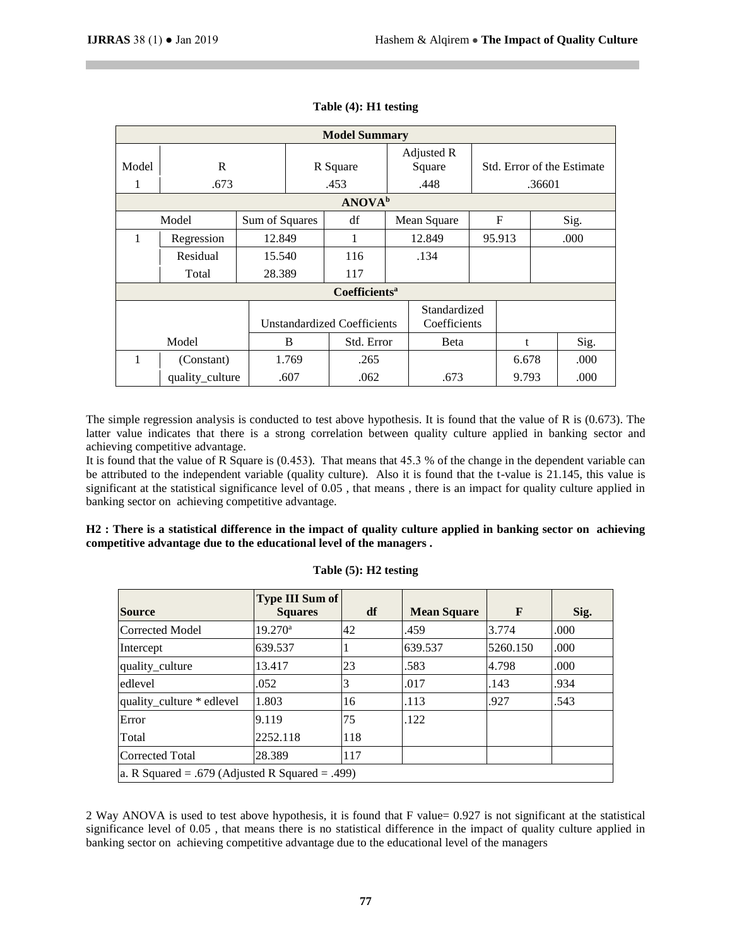| <b>Model Summary</b> |                 |                |       |                                    |  |              |  |        |  |                            |
|----------------------|-----------------|----------------|-------|------------------------------------|--|--------------|--|--------|--|----------------------------|
|                      |                 |                |       |                                    |  | Adjusted R   |  |        |  |                            |
| Model                | R               |                |       | R Square                           |  | Square       |  |        |  | Std. Error of the Estimate |
|                      | .673            |                |       | .453                               |  | .448         |  | .36601 |  |                            |
|                      |                 |                |       | <b>ANOVA</b> <sup>b</sup>          |  |              |  |        |  |                            |
|                      | Model           | Sum of Squares |       | df                                 |  | Mean Square  |  | F      |  | Sig.                       |
| 1                    | Regression      | 12.849         |       | 1                                  |  | 12.849       |  | 95.913 |  | .000                       |
|                      | Residual        | 15.540         |       | 116                                |  | .134         |  |        |  |                            |
|                      | Total           | 28.389         |       | 117                                |  |              |  |        |  |                            |
|                      |                 |                |       | <b>Coefficients<sup>a</sup></b>    |  |              |  |        |  |                            |
|                      |                 |                |       |                                    |  | Standardized |  |        |  |                            |
|                      |                 |                |       | <b>Unstandardized Coefficients</b> |  | Coefficients |  |        |  |                            |
|                      | Model           |                | B     | Std. Error                         |  | Beta         |  | t      |  | Sig.                       |
| 1                    | (Constant)      |                | 1.769 | .265                               |  |              |  | 6.678  |  | .000                       |
|                      | quality_culture |                | .607  | .062                               |  | .673         |  | 9.793  |  | .000                       |

# **Table (4): H1 testing**

The simple regression analysis is conducted to test above hypothesis. It is found that the value of R is (0.673). The latter value indicates that there is a strong correlation between quality culture applied in banking sector and achieving competitive advantage.

It is found that the value of R Square is (0.453). That means that 45.3 % of the change in the dependent variable can be attributed to the independent variable (quality culture). Also it is found that the t-value is 21.145, this value is significant at the statistical significance level of 0.05 , that means , there is an impact for quality culture applied in banking sector on achieving competitive advantage.

**H2 : There is a statistical difference in the impact of quality culture applied in banking sector on achieving competitive advantage due to the educational level of the managers .**

| <b>Source</b>                                      | <b>Type III Sum of</b><br><b>Squares</b> | df  | <b>Mean Square</b> | $\mathbf{F}$ | Sig. |
|----------------------------------------------------|------------------------------------------|-----|--------------------|--------------|------|
| Corrected Model                                    | $19.270^a$                               | 42  | .459               | 3.774        | .000 |
| Intercept                                          | 639.537                                  |     | 639.537            | 5260.150     | .000 |
| quality_culture                                    | 13.417                                   | 23  | .583               | 4.798        | .000 |
| edlevel                                            | .052                                     | 3   | .017               | .143         | .934 |
| quality culture * edlevel                          | 1.803                                    | 16  | .113               | .927         | .543 |
| Error                                              | 9.119                                    | 75  | .122               |              |      |
| Total                                              | 2252.118                                 | 118 |                    |              |      |
| <b>Corrected Total</b>                             | 28.389                                   | 117 |                    |              |      |
| $ a. R$ Squared = .679 (Adjusted R Squared = .499) |                                          |     |                    |              |      |

**Table (5): H2 testing**

2 Way ANOVA is used to test above hypothesis, it is found that F value= 0.927 is not significant at the statistical significance level of 0.05 , that means there is no statistical difference in the impact of quality culture applied in banking sector on achieving competitive advantage due to the educational level of the managers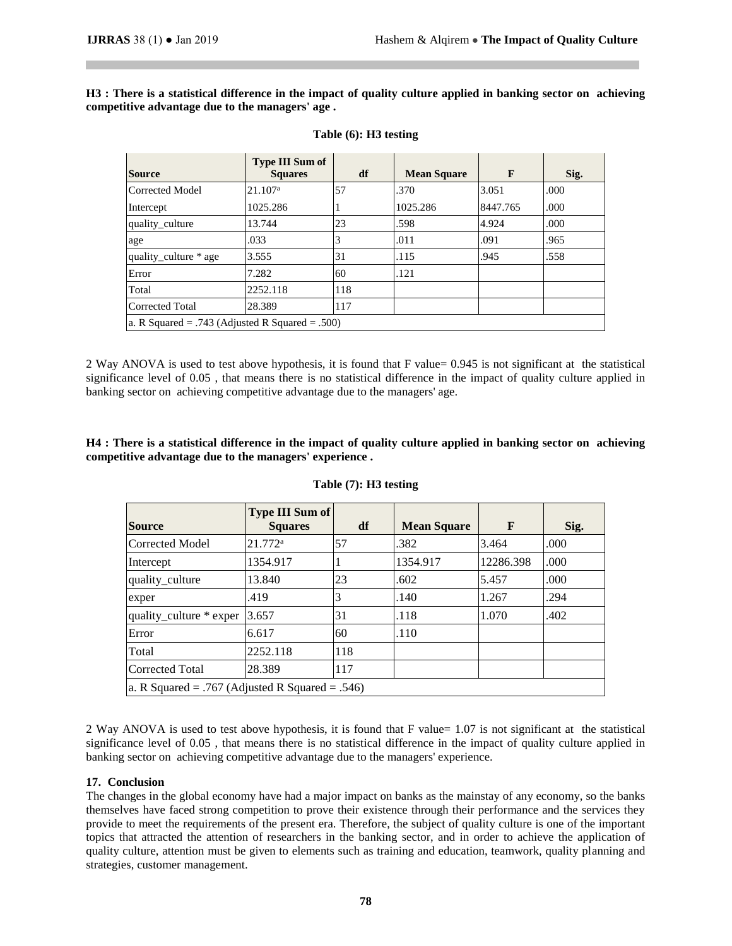**H3 : There is a statistical difference in the impact of quality culture applied in banking sector on achieving competitive advantage due to the managers' age .**

| <b>Source</b>                                   | <b>Type III Sum of</b><br><b>Squares</b> | df  | <b>Mean Square</b> | F        | Sig. |  |  |
|-------------------------------------------------|------------------------------------------|-----|--------------------|----------|------|--|--|
| Corrected Model                                 | 21.107 <sup>a</sup>                      | 57  | .370               | 3.051    | .000 |  |  |
| Intercept                                       | 1025.286                                 |     | 1025.286           | 8447.765 | .000 |  |  |
| quality culture                                 | 13.744                                   | 23  | .598               | 4.924    | .000 |  |  |
| age                                             | .033                                     |     | .011               | .091     | .965 |  |  |
| quality_culture * age                           | 3.555                                    | 31  | .115               | .945     | .558 |  |  |
| Error                                           | 7.282                                    | 60  | .121               |          |      |  |  |
| Total                                           | 2252.118                                 | 118 |                    |          |      |  |  |
| <b>Corrected Total</b>                          | 28.389                                   | 117 |                    |          |      |  |  |
| a. R Squared = .743 (Adjusted R Squared = .500) |                                          |     |                    |          |      |  |  |

# **Table (6): H3 testing**

2 Way ANOVA is used to test above hypothesis, it is found that F value= 0.945 is not significant at the statistical significance level of 0.05 , that means there is no statistical difference in the impact of quality culture applied in banking sector on achieving competitive advantage due to the managers' age.

**H4 : There is a statistical difference in the impact of quality culture applied in banking sector on achieving competitive advantage due to the managers' experience .**

| <b>Source</b>                                   | <b>Type III Sum of</b><br><b>Squares</b> | df  | <b>Mean Square</b> | F         | Sig. |  |  |
|-------------------------------------------------|------------------------------------------|-----|--------------------|-----------|------|--|--|
| Corrected Model                                 | $21.772^a$                               | 57  | .382               | 3.464     | .000 |  |  |
| Intercept                                       | 1354.917                                 |     | 1354.917           | 12286.398 | .000 |  |  |
| quality_culture                                 | 13.840                                   | 23  | .602               | 5.457     | .000 |  |  |
| exper                                           | .419                                     | 3   | .140               | 1.267     | .294 |  |  |
| quality_culture * exper                         | 3.657                                    | 31  | .118               | 1.070     | .402 |  |  |
| Error                                           | 6.617                                    | 60  | .110               |           |      |  |  |
| Total                                           | 2252.118                                 | 118 |                    |           |      |  |  |
| Corrected Total                                 | 28.389                                   | 117 |                    |           |      |  |  |
| a. R Squared = .767 (Adjusted R Squared = .546) |                                          |     |                    |           |      |  |  |

#### **Table (7): H3 testing**

2 Way ANOVA is used to test above hypothesis, it is found that F value= 1.07 is not significant at the statistical significance level of 0.05 , that means there is no statistical difference in the impact of quality culture applied in banking sector on achieving competitive advantage due to the managers' experience.

# **17. Conclusion**

The changes in the global economy have had a major impact on banks as the mainstay of any economy, so the banks themselves have faced strong competition to prove their existence through their performance and the services they provide to meet the requirements of the present era. Therefore, the subject of quality culture is one of the important topics that attracted the attention of researchers in the banking sector, and in order to achieve the application of quality culture, attention must be given to elements such as training and education, teamwork, quality planning and strategies, customer management.